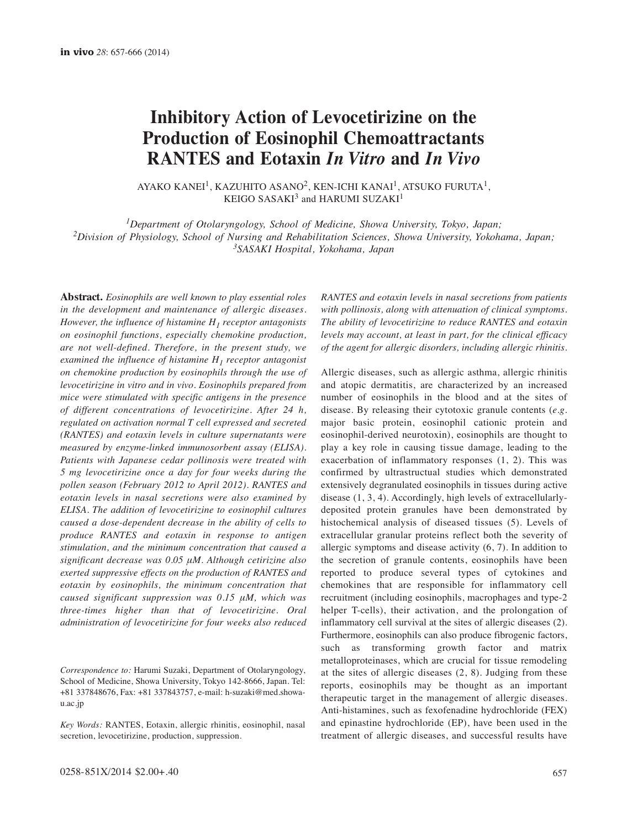# **Inhibitory Action of Levocetirizine on the Production of Eosinophil Chemoattractants RANTES and Eotaxin** *In Vitro* **and** *In Vivo*

AYAKO KANEI<sup>1</sup>, KAZUHITO ASANO<sup>2</sup>, KEN-ICHI KANAI<sup>1</sup>, ATSUKO FURUTA<sup>1</sup>, KEIGO SASAKI $3$  and HARUMI SUZAKI $1$ 

*1Department of Otolaryngology, School of Medicine, Showa University, Tokyo, Japan; 2Division of Physiology, School of Nursing and Rehabilitation Sciences, Showa University, Yokohama, Japan; 3SASAKI Hospital, Yokohama, Japan*

**Abstract.** *Eosinophils are well known to play essential roles in the development and maintenance of allergic diseases. However, the influence of histamine H1 receptor antagonists on eosinophil functions, especially chemokine production, are not well-defined. Therefore, in the present study, we examined the influence of histamine H1 receptor antagonist on chemokine production by eosinophils through the use of levocetirizine in vitro and in vivo. Eosinophils prepared from mice were stimulated with specific antigens in the presence of different concentrations of levocetirizine. After 24 h, regulated on activation normal T cell expressed and secreted (RANTES) and eotaxin levels in culture supernatants were measured by enzyme-linked immunosorbent assay (ELISA). Patients with Japanese cedar pollinosis were treated with 5 mg levocetirizine once a day for four weeks during the pollen season (February 2012 to April 2012). RANTES and eotaxin levels in nasal secretions were also examined by ELISA. The addition of levocetirizine to eosinophil cultures caused a dose-dependent decrease in the ability of cells to produce RANTES and eotaxin in response to antigen stimulation, and the minimum concentration that caused a significant decrease was 0.05 μM. Although cetirizine also exerted suppressive effects on the production of RANTES and eotaxin by eosinophils, the minimum concentration that caused significant suppression was 0.15 μM, which was three-times higher than that of levocetirizine. Oral administration of levocetirizine for four weeks also reduced*

*Correspondence to:* Harumi Suzaki, Department of Otolaryngology, School of Medicine, Showa University, Tokyo 142-8666, Japan. Tel: +81 337848676, Fax: +81 337843757, e-mail: h-suzaki@med.showau.ac.jp

*Key Words:* RANTES, Eotaxin, allergic rhinitis, eosinophil, nasal secretion, levocetirizine, production, suppression.

*RANTES and eotaxin levels in nasal secretions from patients with pollinosis, along with attenuation of clinical symptoms. The ability of levocetirizine to reduce RANTES and eotaxin levels may account, at least in part, for the clinical efficacy of the agent for allergic disorders, including allergic rhinitis.* 

Allergic diseases, such as allergic asthma, allergic rhinitis and atopic dermatitis, are characterized by an increased number of eosinophils in the blood and at the sites of disease. By releasing their cytotoxic granule contents (*e.g.* major basic protein, eosinophil cationic protein and eosinophil-derived neurotoxin), eosinophils are thought to play a key role in causing tissue damage, leading to the exacerbation of inflammatory responses (1, 2). This was confirmed by ultrastructual studies which demonstrated extensively degranulated eosinophils in tissues during active disease (1, 3, 4). Accordingly, high levels of extracellularlydeposited protein granules have been demonstrated by histochemical analysis of diseased tissues (5). Levels of extracellular granular proteins reflect both the severity of allergic symptoms and disease activity (6, 7). In addition to the secretion of granule contents, eosinophils have been reported to produce several types of cytokines and chemokines that are responsible for inflammatory cell recruitment (including eosinophils, macrophages and type-2 helper T-cells), their activation, and the prolongation of inflammatory cell survival at the sites of allergic diseases (2). Furthermore, eosinophils can also produce fibrogenic factors, such as transforming growth factor and matrix metalloproteinases, which are crucial for tissue remodeling at the sites of allergic diseases (2, 8). Judging from these reports, eosinophils may be thought as an important therapeutic target in the management of allergic diseases. Anti-histamines, such as fexofenadine hydrochloride (FEX) and epinastine hydrochloride (EP), have been used in the treatment of allergic diseases, and successful results have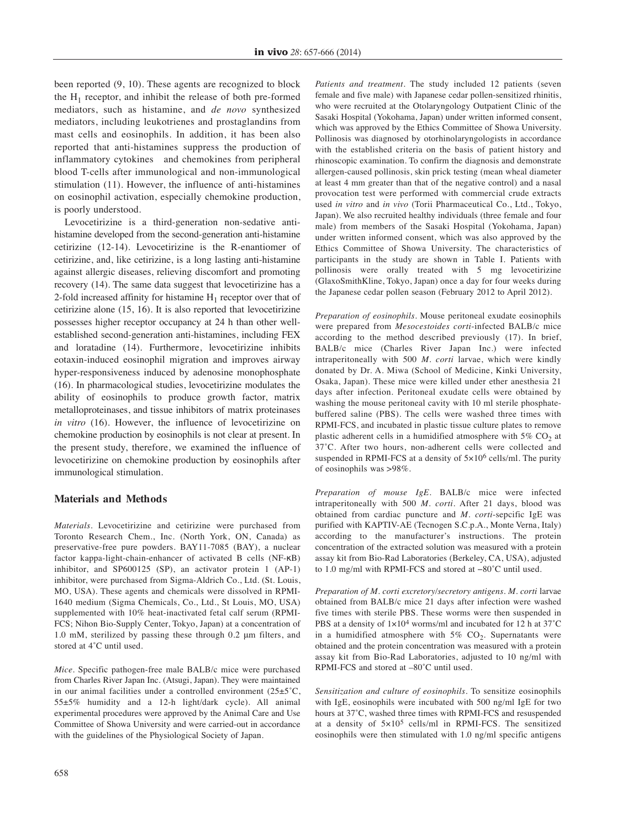been reported (9, 10). These agents are recognized to block the  $H_1$  receptor, and inhibit the release of both pre-formed mediators, such as histamine, and *de novo* synthesized mediators, including leukotrienes and prostaglandins from mast cells and eosinophils. In addition, it has been also reported that anti-histamines suppress the production of inflammatory cytokines and chemokines from peripheral blood T-cells after immunological and non-immunological stimulation (11). However, the influence of anti-histamines on eosinophil activation, especially chemokine production, is poorly understood.

Levocetirizine is a third-generation non-sedative antihistamine developed from the second-generation anti-histamine cetirizine (12-14). Levocetirizine is the R-enantiomer of cetirizine, and, like cetirizine, is a long lasting anti-histamine against allergic diseases, relieving discomfort and promoting recovery (14). The same data suggest that levocetirizine has a 2-fold increased affinity for histamine  $H_1$  receptor over that of cetirizine alone (15, 16). It is also reported that levocetirizine possesses higher receptor occupancy at 24 h than other wellestablished second-generation anti-histamines, including FEX and loratadine (14). Furthermore, levocetirizine inhibits eotaxin-induced eosinophil migration and improves airway hyper-responsiveness induced by adenosine monophosphate (16). In pharmacological studies, levocetirizine modulates the ability of eosinophils to produce growth factor, matrix metalloproteinases, and tissue inhibitors of matrix proteinases *in vitro* (16). However, the influence of levocetirizine on chemokine production by eosinophils is not clear at present. In the present study, therefore, we examined the influence of levocetirizine on chemokine production by eosinophils after immunological stimulation.

#### **Materials and Methods**

*Materials.* Levocetirizine and cetirizine were purchased from Toronto Research Chem., Inc. (North York, ON, Canada) as preservative-free pure powders. BAY11-7085 (BAY), a nuclear factor kappa-light-chain-enhancer of activated B cells (NF-κB) inhibitor, and SP600125 (SP), an activator protein 1 (AP-1) inhibitor, were purchased from Sigma-Aldrich Co., Ltd. (St. Louis, MO, USA). These agents and chemicals were dissolved in RPMI-1640 medium (Sigma Chemicals, Co., Ltd., St Louis, MO, USA) supplemented with 10% heat-inactivated fetal calf serum (RPMI-FCS; Nihon Bio-Supply Center, Tokyo, Japan) at a concentration of 1.0 mM, sterilized by passing these through 0.2 μm filters, and stored at 4˚C until used.

*Mice.* Specific pathogen-free male BALB/c mice were purchased from Charles River Japan Inc. (Atsugi, Japan). They were maintained in our animal facilities under a controlled environment (25±5˚C, 55±5% humidity and a 12-h light/dark cycle). All animal experimental procedures were approved by the Animal Care and Use Committee of Showa University and were carried-out in accordance with the guidelines of the Physiological Society of Japan.

*Patients and treatment.* The study included 12 patients (seven female and five male) with Japanese cedar pollen-sensitized rhinitis, who were recruited at the Otolaryngology Outpatient Clinic of the Sasaki Hospital (Yokohama, Japan) under written informed consent, which was approved by the Ethics Committee of Showa University. Pollinosis was diagnosed by otorhinolaryngologists in accordance with the established criteria on the basis of patient history and rhinoscopic examination. To confirm the diagnosis and demonstrate allergen-caused pollinosis, skin prick testing (mean wheal diameter at least 4 mm greater than that of the negative control) and a nasal provocation test were performed with commercial crude extracts used *in vitro* and *in vivo* (Torii Pharmaceutical Co., Ltd., Tokyo, Japan). We also recruited healthy individuals (three female and four male) from members of the Sasaki Hospital (Yokohama, Japan) under written informed consent, which was also approved by the Ethics Committee of Showa University. The characteristics of participants in the study are shown in Table I. Patients with pollinosis were orally treated with 5 mg levocetirizine (GlaxoSmithKline, Tokyo, Japan) once a day for four weeks during the Japanese cedar pollen season (February 2012 to April 2012).

*Preparation of eosinophils.* Mouse peritoneal exudate eosinophils were prepared from *Mesocestoides corti*-infected BALB/c mice according to the method described previously (17). In brief, BALB/c mice (Charles River Japan Inc.) were infected intraperitoneally with 500 *M. corti* larvae, which were kindly donated by Dr. A. Miwa (School of Medicine, Kinki University, Osaka, Japan). These mice were killed under ether anesthesia 21 days after infection. Peritoneal exudate cells were obtained by washing the mouse peritoneal cavity with 10 ml sterile phosphatebuffered saline (PBS). The cells were washed three times with RPMI-FCS, and incubated in plastic tissue culture plates to remove plastic adherent cells in a humidified atmosphere with  $5\%$  CO<sub>2</sub> at 37˚C. After two hours, non-adherent cells were collected and suspended in RPMI-FCS at a density of 5×106 cells/ml. The purity of eosinophils was >98%.

*Preparation of mouse IgE.* BALB/c mice were infected intraperitoneally with 500 *M. corti*. After 21 days, blood was obtained from cardiac puncture and *M. corti*-sepcific IgE was purified with KAPTIV-AE (Tecnogen S.C.p.A., Monte Verna, Italy) according to the manufacturer's instructions. The protein concentration of the extracted solution was measured with a protein assay kit from Bio-Rad Laboratories (Berkeley, CA, USA), adjusted to 1.0 mg/ml with RPMI-FCS and stored at −80˚C until used.

*Preparation of M. corti excretory/secretory antigens. M. corti* larvae obtained from BALB/c mice 21 days after infection were washed five times with sterile PBS. These worms were then suspended in PBS at a density of 1×104 worms/ml and incubated for 12 h at 37˚C in a humidified atmosphere with  $5\%$  CO<sub>2</sub>. Supernatants were obtained and the protein concentration was measured with a protein assay kit from Bio-Rad Laboratories, adjusted to 10 ng/ml with RPMI-FCS and stored at –80˚C until used.

*Sensitization and culture of eosinophils.* To sensitize eosinophils with IgE, eosinophils were incubated with 500 ng/ml IgE for two hours at 37˚C, washed three times with RPMI-FCS and resuspended at a density of 5×105 cells/ml in RPMI-FCS. The sensitized eosinophils were then stimulated with 1.0 ng/ml specific antigens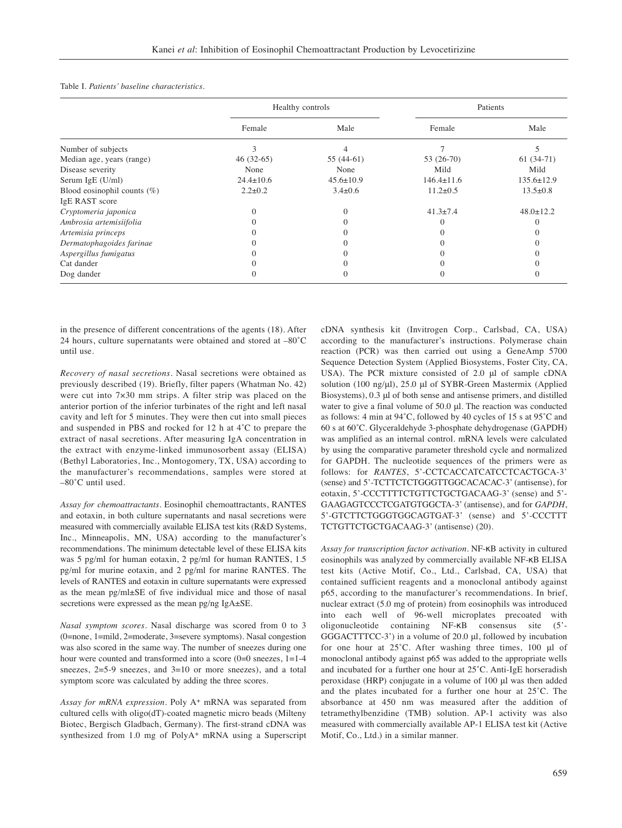|                                | Healthy controls |                 | Patients         |                  |
|--------------------------------|------------------|-----------------|------------------|------------------|
|                                | Female           | Male            | Female           | Male             |
| Number of subjects             | 3                |                 |                  |                  |
| Median age, years (range)      | $46(32-65)$      | 55 $(44-61)$    | 53 (26-70)       | $61(34-71)$      |
| Disease severity               | None             | None            | Mild             | Mild             |
| Serum $IgE$ (U/ml)             | $24.4 \pm 10.6$  | $45.6 \pm 10.9$ | $146.4 \pm 11.6$ | $135.6 \pm 12.9$ |
| Blood eosinophil counts $(\%)$ | $2.2 \pm 0.2$    | $3.4 \pm 0.6$   | $11.2 \pm 0.5$   | $13.5 \pm 0.8$   |
| IgE RAST score                 |                  |                 |                  |                  |
| Cryptomeria japonica           |                  |                 | $41.3 \pm 7.4$   | $48.0 \pm 12.2$  |
| Ambrosia artemisiifolia        |                  |                 |                  |                  |
| Artemisia princeps             |                  |                 |                  |                  |
| Dermatophagoides farinae       |                  |                 |                  |                  |
| Aspergillus fumigatus          |                  |                 |                  |                  |
| Cat dander                     |                  |                 |                  |                  |
| Dog dander                     |                  |                 |                  |                  |

Table I. *Patients' baseline characteristics.*

in the presence of different concentrations of the agents (18). After 24 hours, culture supernatants were obtained and stored at –80˚C until use.

*Recovery of nasal secretions.* Nasal secretions were obtained as previously described (19). Briefly, filter papers (Whatman No. 42) were cut into 7×30 mm strips. A filter strip was placed on the anterior portion of the inferior turbinates of the right and left nasal cavity and left for 5 minutes. They were then cut into small pieces and suspended in PBS and rocked for 12 h at 4˚C to prepare the extract of nasal secretions. After measuring IgA concentration in the extract with enzyme-linked immunosorbent assay (ELISA) (Bethyl Laboratories, Inc., Montogomery, TX, USA) according to the manufacturer's recommendations, samples were stored at –80˚C until used.

*Assay for chemoattractants.* Eosinophil chemoattractants, RANTES and eotaxin, in both culture supernatants and nasal secretions were measured with commercially available ELISA test kits (R&D Systems, Inc., Minneapolis, MN, USA) according to the manufacturer's recommendations. The minimum detectable level of these ELISA kits was 5 pg/ml for human eotaxin, 2 pg/ml for human RANTES, 1.5 pg/ml for murine eotaxin, and 2 pg/ml for marine RANTES. The levels of RANTES and eotaxin in culture supernatants were expressed as the mean pg/ml±SE of five individual mice and those of nasal secretions were expressed as the mean pg/ng IgA±SE.

*Nasal symptom scores.* Nasal discharge was scored from 0 to 3 (0=none, 1=mild, 2=moderate, 3=severe symptoms). Nasal congestion was also scored in the same way. The number of sneezes during one hour were counted and transformed into a score (0=0 sneezes, 1=1-4 sneezes, 2=5-9 sneezes, and 3=10 or more sneezes), and a total symptom score was calculated by adding the three scores.

*Assay for mRNA expression.* Poly A+ mRNA was separated from cultured cells with oligo(dT)-coated magnetic micro beads (Milteny Biotec, Bergisch Gladbach, Germany). The first-strand cDNA was synthesized from 1.0 mg of PolyA+ mRNA using a Superscript cDNA synthesis kit (Invitrogen Corp., Carlsbad, CA, USA) according to the manufacturer's instructions. Polymerase chain reaction (PCR) was then carried out using a GeneAmp 5700 Sequence Detection System (Applied Biosystems, Foster City, CA, USA). The PCR mixture consisted of 2.0 μl of sample cDNA solution (100 ng/μl), 25.0 μl of SYBR-Green Mastermix (Applied Biosystems), 0.3 μl of both sense and antisense primers, and distilled water to give a final volume of 50.0 μl. The reaction was conducted as follows: 4 min at 94˚C, followed by 40 cycles of 15 s at 95˚C and 60 s at 60˚C. Glyceraldehyde 3-phosphate dehydrogenase (GAPDH) was amplified as an internal control. mRNA levels were calculated by using the comparative parameter threshold cycle and normalized for GAPDH. The nucleotide sequences of the primers were as follows: for *RANTES*, 5'-CCTCACCATCATCCTCACTGCA-3' (sense) and 5'-TCTTCTCTGGGTTGGCACACAC-3' (antisense), for eotaxin, 5'-CCCTTTTCTGTTCTGCTGACAAG-3' (sense) and 5'- GAAGAGTCCCTCGATGTGGCTA-3' (antisense), and for *GAPDH*, 5'-GTCTTCTGGGTGGCAGTGAT-3' (sense) and 5'-CCCTTT TCTGTTCTGCTGACAAG-3' (antisense) (20).

*Assay for transcription factor activation.* NF-κB activity in cultured eosinophils was analyzed by commercially available NF-κB ELISA test kits (Active Motif, Co., Ltd., Carlsbad, CA, USA) that contained sufficient reagents and a monoclonal antibody against p65, according to the manufacturer's recommendations. In brief, nuclear extract (5.0 mg of protein) from eosinophils was introduced into each well of 96-well microplates precoated with oligonucleotide containing NF-κB consensus site (5'- GGGACTTTCC-3') in a volume of 20.0 μl, followed by incubation for one hour at 25˚C. After washing three times, 100 μl of monoclonal antibody against p65 was added to the appropriate wells and incubated for a further one hour at 25˚C. Anti-IgE horseradish peroxidase (HRP) conjugate in a volume of 100 μl was then added and the plates incubated for a further one hour at 25˚C. The absorbance at 450 nm was measured after the addition of tetramethylbenzidine (TMB) solution. AP-1 activity was also measured with commercially available AP-1 ELISA test kit (Active Motif, Co., Ltd.) in a similar manner.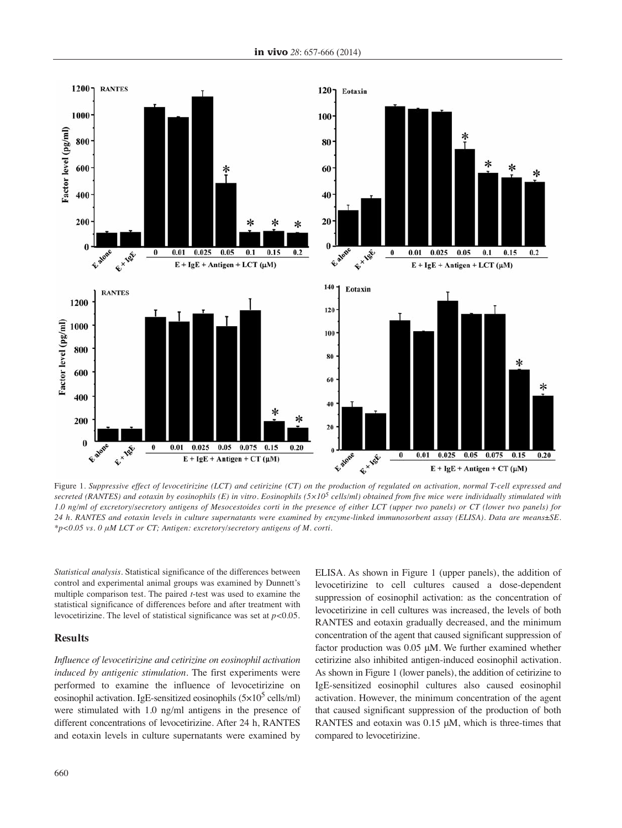

Figure 1*. Suppressive effect of levocetirizine (LCT) and cetirizine (CT) on the production of regulated on activation, normal T-cell expressed and secreted (RANTES) and eotaxin by eosinophils (E) in vitro. Eosinophils (5×105 cells/ml) obtained from five mice were individually stimulated with 1.0 ng/ml of excretory/secretory antigens of Mesocestoides corti in the presence of either LCT (upper two panels) or CT (lower two panels) for*  24 h. RANTES and eotaxin levels in culture supernatants were examined by enzyme-linked immunosorbent assay (ELISA). Data are means $\pm$ SE. *\*p<0.05 vs. 0 μM LCT or CT; Antigen: excretory/secretory antigens of M. corti.*

*Statistical analysis.* Statistical significance of the differences between control and experimental animal groups was examined by Dunnett's multiple comparison test. The paired *t*-test was used to examine the statistical significance of differences before and after treatment with levocetirizine. The level of statistical significance was set at *p<*0.05.

#### **Results**

*Influence of levocetirizine and cetirizine on eosinophil activation induced by antigenic stimulation.* The first experiments were performed to examine the influence of levocetirizine on eosinophil activation. IgE-sensitized eosinophils  $(5\times10^5 \text{ cells/ml})$ were stimulated with 1.0 ng/ml antigens in the presence of different concentrations of levocetirizine. After 24 h, RANTES and eotaxin levels in culture supernatants were examined by ELISA. As shown in Figure 1 (upper panels), the addition of levocetirizine to cell cultures caused a dose-dependent suppression of eosinophil activation: as the concentration of levocetirizine in cell cultures was increased, the levels of both RANTES and eotaxin gradually decreased, and the minimum concentration of the agent that caused significant suppression of factor production was 0.05 μM. We further examined whether cetirizine also inhibited antigen-induced eosinophil activation. As shown in Figure 1 (lower panels), the addition of cetirizine to IgE-sensitized eosinophil cultures also caused eosinophil activation. However, the minimum concentration of the agent that caused significant suppression of the production of both RANTES and eotaxin was 0.15 μM, which is three-times that compared to levocetirizine.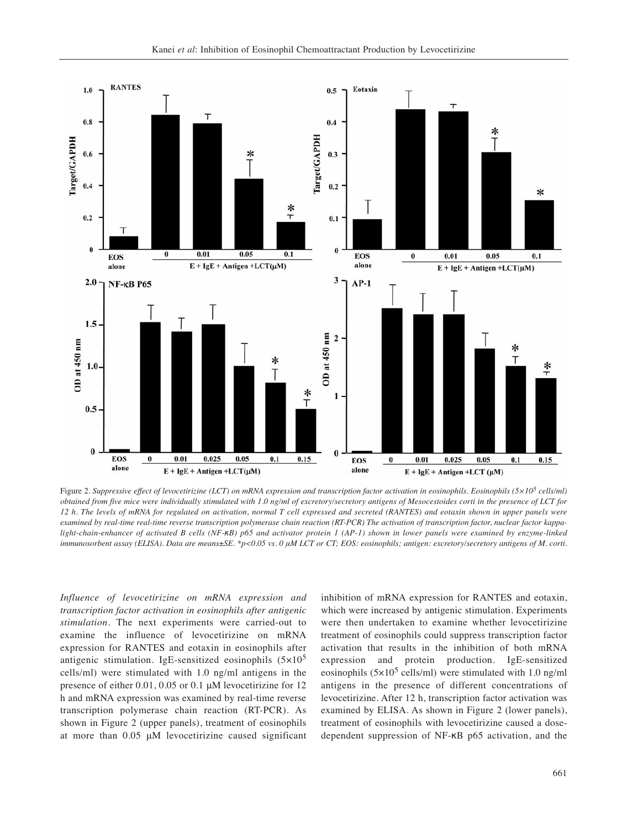

Figure 2*. Suppressive effect of levocetirizine (LCT) on mRNA expression and transcription factor activation in eosinophils. Eosinophils (5×105 cells/ml) obtained from five mice were individually stimulated with 1.0 ng/ml of excretory/secretory antigens of Mesocestoides corti in the presence of LCT for 12 h. The levels of mRNA for regulated on activation, normal T cell expressed and secreted (RANTES) and eotaxin shown in upper panels were examined by real-time real-time reverse transcription polymerase chain reaction (RT-PCR) The activation of transcription factor, nuclear factor kappalight-chain-enhancer of activated B cells (NF-κB) p65 and activator protein 1 (AP-1) shown in lower panels were examined by enzyme-linked immunosorbent assay (ELISA). Data are means*±*SE. \*p<0.05 vs. 0 μM LCT or CT; EOS: eosinophils; antigen: excretory/secretory antigens of M. corti.*

*Influence of levocetirizine on mRNA expression and transcription factor activation in eosinophils after antigenic stimulation.* The next experiments were carried-out to examine the influence of levocetirizine on mRNA expression for RANTES and eotaxin in eosinophils after antigenic stimulation. IgE-sensitized eosinophils  $(5 \times 10^5$ cells/ml) were stimulated with 1.0 ng/ml antigens in the presence of either 0.01, 0.05 or 0.1 μM levocetirizine for 12 h and mRNA expression was examined by real-time reverse transcription polymerase chain reaction (RT-PCR). As shown in Figure 2 (upper panels), treatment of eosinophils at more than 0.05 μM levocetirizine caused significant inhibition of mRNA expression for RANTES and eotaxin, which were increased by antigenic stimulation. Experiments were then undertaken to examine whether levocetirizine treatment of eosinophils could suppress transcription factor activation that results in the inhibition of both mRNA expression and protein production. IgE-sensitized eosinophils  $(5\times10^5 \text{ cells/ml})$  were stimulated with 1.0 ng/ml antigens in the presence of different concentrations of levocetirizine. After 12 h, transcription factor activation was examined by ELISA. As shown in Figure 2 (lower panels), treatment of eosinophils with levocetirizine caused a dosedependent suppression of NF-κB p65 activation, and the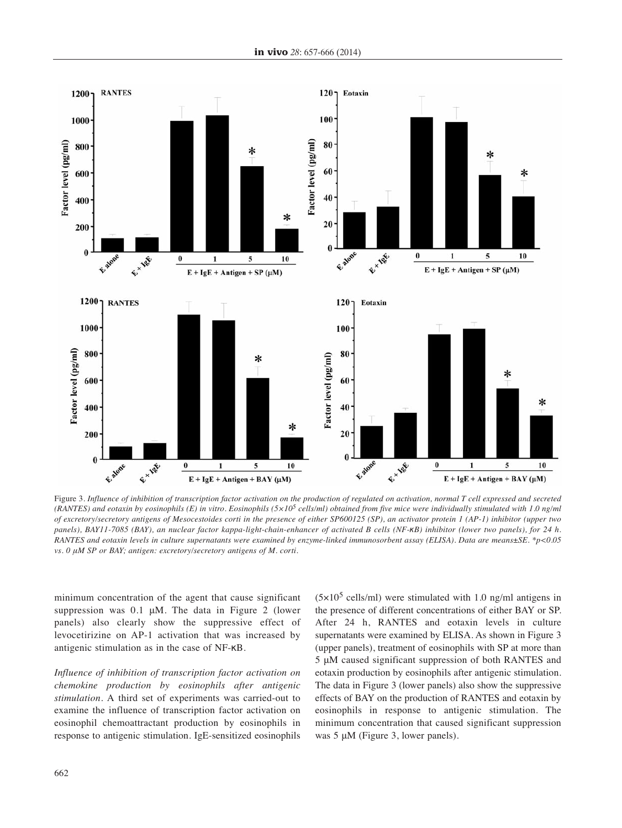

Figure 3. *Influence of inhibition of transcription factor activation on the production of regulated on activation, normal T cell expressed and secreted (RANTES) and eotaxin by eosinophils (E) in vitro. Eosinophils (5×105 cells/ml) obtained from five mice were individually stimulated with 1.0 ng/ml of excretory/secretory antigens of Mesocestoides corti in the presence of either SP600125 (SP), an activator protein 1 (AP-1) inhibitor (upper two panels), BAY11-7085 (BAY), an nuclear factor kappa-light-chain-enhancer of activated B cells (NF-κB) inhibitor (lower two panels), for 24 h. RANTES and eotaxin levels in culture supernatants were examined by enzyme-linked immunosorbent assay (ELISA). Data are means*±*SE. \*p<0.05 vs. 0 μM SP or BAY; antigen: excretory/secretory antigens of M. corti.*

minimum concentration of the agent that cause significant suppression was 0.1 μM. The data in Figure 2 (lower panels) also clearly show the suppressive effect of levocetirizine on AP-1 activation that was increased by antigenic stimulation as in the case of NF-κB.

*Influence of inhibition of transcription factor activation on chemokine production by eosinophils after antigenic stimulation.* A third set of experiments was carried-out to examine the influence of transcription factor activation on eosinophil chemoattractant production by eosinophils in response to antigenic stimulation. IgE-sensitized eosinophils

 $(5 \times 10^5 \text{ cells/ml})$  were stimulated with 1.0 ng/ml antigens in the presence of different concentrations of either BAY or SP. After 24 h, RANTES and eotaxin levels in culture supernatants were examined by ELISA. As shown in Figure 3 (upper panels), treatment of eosinophils with SP at more than 5 μM caused significant suppression of both RANTES and eotaxin production by eosinophils after antigenic stimulation. The data in Figure 3 (lower panels) also show the suppressive effects of BAY on the production of RANTES and eotaxin by eosinophils in response to antigenic stimulation. The minimum concentration that caused significant suppression was 5 μM (Figure 3, lower panels).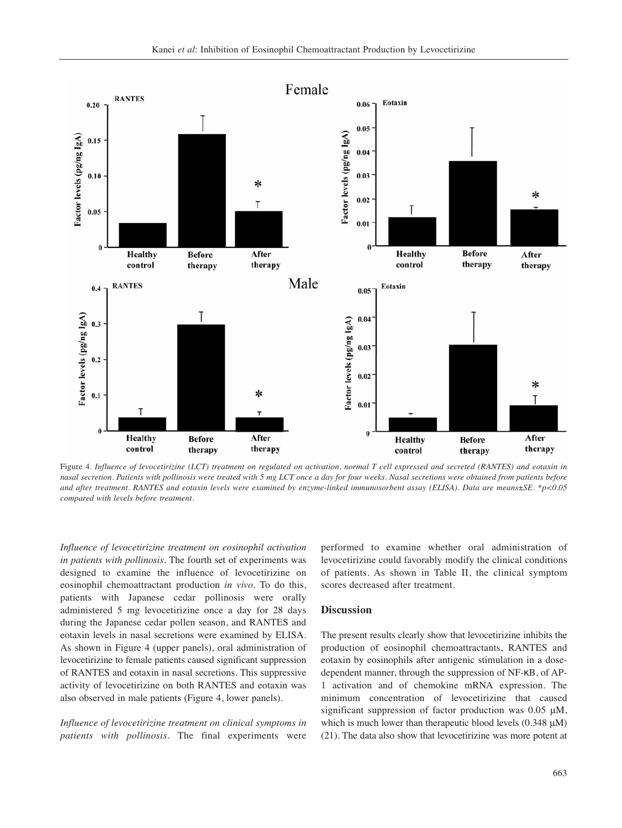

Figure 4. *Influence of levocetirizine (LCT) treatment on regulated on activation, normal T cell expressed and secreted (RANTES) and eotaxin in nasal secretion. Patients with pollinosis were treated with 5 mg LCT once a day for four weeks. Nasal secretions were obtained from patients before and after treatment. RANTES and eotaxin levels were examined by enzyme-linked immunosorbent assay (ELISA). Data are means*±*SE. \*p<0.05 compared with levels before treatment.*

*Influence of levocetirizine treatment on eosinophil activation in patients with pollinosis.* The fourth set of experiments was designed to examine the influence of levocetirizine on eosinophil chemoattractant production *in vivo*. To do this, patients with Japanese cedar pollinosis were orally administered 5 mg levocetirizine once a day for 28 days during the Japanese cedar pollen season, and RANTES and eotaxin levels in nasal secretions were examined by ELISA. As shown in Figure 4 (upper panels), oral administration of levocetirizine to female patients caused significant suppression of RANTES and eotaxin in nasal secretions. This suppressive activity of levocetirizine on both RANTES and eotaxin was also observed in male patients (Figure 4, lower panels).

*Influence of levocetirizine treatment on clinical symptoms in patients with pollinosis.* The final experiments were

performed to examine whether oral administration of levocetirizine could favorably modify the clinical conditions of patients. As shown in Table II, the clinical symptom scores decreased after treatment.

## **Discussion**

The present results clearly show that levocetirizine inhibits the production of eosinophil chemoattractants, RANTES and eotaxin by eosinophils after antigenic stimulation in a dosedependent manner, through the suppression of NF-κB, of AP-1 activation and of chemokine mRNA expression. The minimum concentration of levocetirizine that caused significant suppression of factor production was 0.05 μM, which is much lower than therapeutic blood levels (0.348 μM) (21). The data also show that levocetirizine was more potent at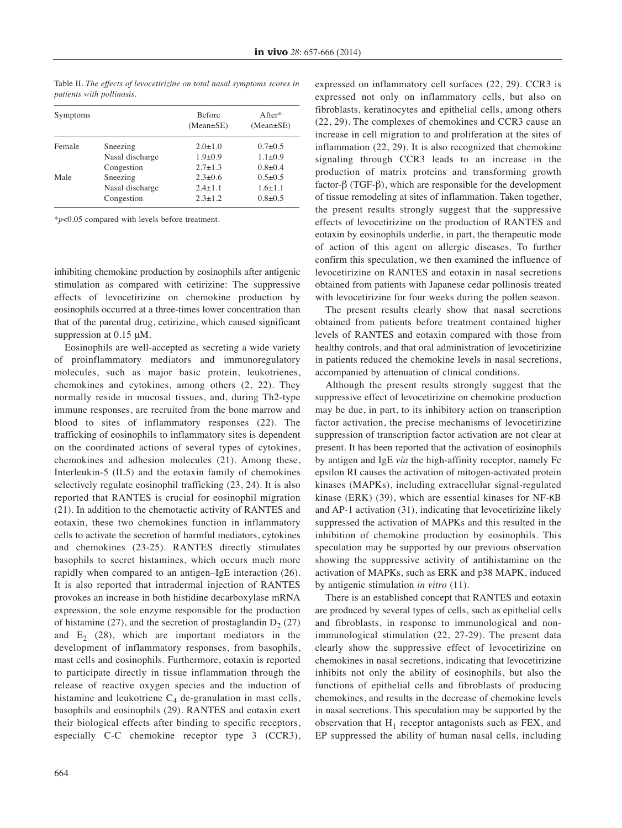Symptoms Before After\* (Mean±SE) (Mean±SE) Female Sneezing 2.0±1.0 0.7±0.5 Nasal discharge  $1.9\pm0.9$   $1.1\pm0.9$ Congestion  $2.7 \pm 1.3$   $0.8 \pm 0.4$ Male Sneezing 2.3±0.6 0.5±0.5 Nasal discharge  $2.4 \pm 1.1$   $1.6 \pm 1.1$ Congestion  $2.3 \pm 1.2$   $0.8 \pm 0.5$ 

Table II. *The effects of levocetirizine on total nasal symptoms scores in patients with pollinosis.*

\**p*<0.05 compared with levels before treatment.

inhibiting chemokine production by eosinophils after antigenic stimulation as compared with cetirizine: The suppressive effects of levocetirizine on chemokine production by eosinophils occurred at a three-times lower concentration than that of the parental drug, cetirizine, which caused significant suppression at 0.15 μM.

Eosinophils are well-accepted as secreting a wide variety of proinflammatory mediators and immunoregulatory molecules, such as major basic protein, leukotrienes, chemokines and cytokines, among others (2, 22). They normally reside in mucosal tissues, and, during Th2-type immune responses, are recruited from the bone marrow and blood to sites of inflammatory responses (22). The trafficking of eosinophils to inflammatory sites is dependent on the coordinated actions of several types of cytokines, chemokines and adhesion molecules (21). Among these, Interleukin-5 (IL5) and the eotaxin family of chemokines selectively regulate eosinophil trafficking (23, 24). It is also reported that RANTES is crucial for eosinophil migration (21). In addition to the chemotactic activity of RANTES and eotaxin, these two chemokines function in inflammatory cells to activate the secretion of harmful mediators, cytokines and chemokines (23-25). RANTES directly stimulates basophils to secret histamines, which occurs much more rapidly when compared to an antigen–IgE interaction (26). It is also reported that intradermal injection of RANTES provokes an increase in both histidine decarboxylase mRNA expression, the sole enzyme responsible for the production of histamine (27), and the secretion of prostaglandin  $D_2$  (27) and  $E_2$  (28), which are important mediators in the development of inflammatory responses, from basophils, mast cells and eosinophils. Furthermore, eotaxin is reported to participate directly in tissue inflammation through the release of reactive oxygen species and the induction of histamine and leukotriene  $C_4$  de-granulation in mast cells, basophils and eosinophils (29). RANTES and eotaxin exert their biological effects after binding to specific receptors, especially C-C chemokine receptor type 3 (CCR3), expressed on inflammatory cell surfaces (22, 29). CCR3 is expressed not only on inflammatory cells, but also on fibroblasts, keratinocytes and epithelial cells, among others (22, 29). The complexes of chemokines and CCR3 cause an increase in cell migration to and proliferation at the sites of inflammation (22, 29). It is also recognized that chemokine signaling through CCR3 leads to an increase in the production of matrix proteins and transforming growth factor-β (TGF-β), which are responsible for the development of tissue remodeling at sites of inflammation. Taken together, the present results strongly suggest that the suppressive effects of levocetirizine on the production of RANTES and eotaxin by eosinophils underlie, in part, the therapeutic mode of action of this agent on allergic diseases. To further confirm this speculation, we then examined the influence of levocetirizine on RANTES and eotaxin in nasal secretions obtained from patients with Japanese cedar pollinosis treated with levocetirizine for four weeks during the pollen season.

The present results clearly show that nasal secretions obtained from patients before treatment contained higher levels of RANTES and eotaxin compared with those from healthy controls, and that oral administration of levocetirizine in patients reduced the chemokine levels in nasal secretions, accompanied by attenuation of clinical conditions.

Although the present results strongly suggest that the suppressive effect of levocetirizine on chemokine production may be due, in part, to its inhibitory action on transcription factor activation, the precise mechanisms of levocetirizine suppression of transcription factor activation are not clear at present. It has been reported that the activation of eosinophils by antigen and IgE *via* the high-affinity receptor, namely Fc epsilon RI causes the activation of mitogen-activated protein kinases (MAPKs), including extracellular signal-regulated kinase (ERK) (39), which are essential kinases for NF-κB and AP-1 activation (31), indicating that levocetirizine likely suppressed the activation of MAPKs and this resulted in the inhibition of chemokine production by eosinophils. This speculation may be supported by our previous observation showing the suppressive activity of antihistamine on the activation of MAPKs, such as ERK and p38 MAPK, induced by antigenic stimulation *in vitro* (11).

There is an established concept that RANTES and eotaxin are produced by several types of cells, such as epithelial cells and fibroblasts, in response to immunological and nonimmunological stimulation (22, 27-29). The present data clearly show the suppressive effect of levocetirizine on chemokines in nasal secretions, indicating that levocetirizine inhibits not only the ability of eosinophils, but also the functions of epithelial cells and fibroblasts of producing chemokines, and results in the decrease of chemokine levels in nasal secretions. This speculation may be supported by the observation that  $H_1$  receptor antagonists such as FEX, and EP suppressed the ability of human nasal cells, including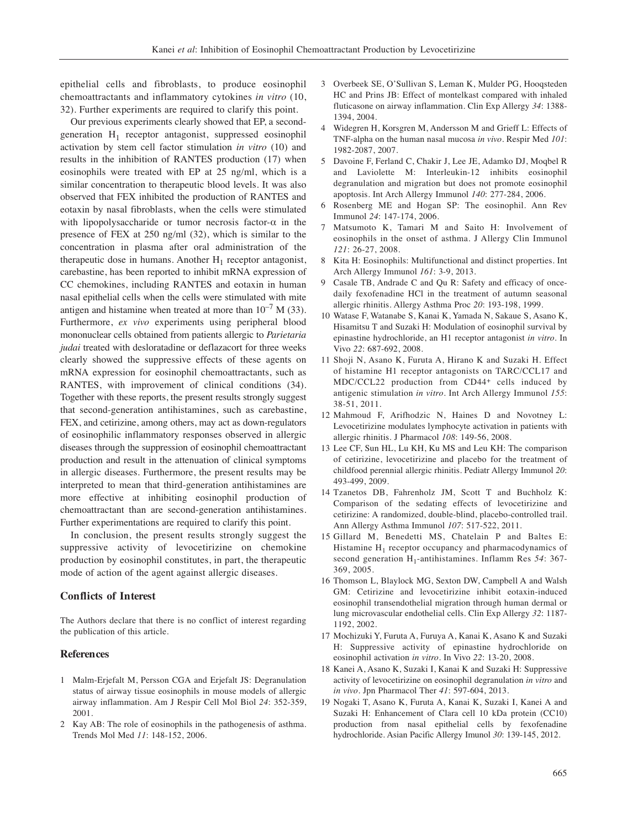epithelial cells and fibroblasts, to produce eosinophil chemoattractants and inflammatory cytokines *in vitro* (10, 32). Further experiments are required to clarify this point.

Our previous experiments clearly showed that EP, a secondgeneration  $H_1$  receptor antagonist, suppressed eosinophil activation by stem cell factor stimulation *in vitro* (10) and results in the inhibition of RANTES production (17) when eosinophils were treated with EP at 25 ng/ml, which is a similar concentration to therapeutic blood levels. It was also observed that FEX inhibited the production of RANTES and eotaxin by nasal fibroblasts, when the cells were stimulated with lipopolysaccharide or tumor necrosis factor- $\alpha$  in the presence of FEX at 250 ng/ml (32), which is similar to the concentration in plasma after oral administration of the therapeutic dose in humans. Another  $H_1$  receptor antagonist, carebastine, has been reported to inhibit mRNA expression of CC chemokines, including RANTES and eotaxin in human nasal epithelial cells when the cells were stimulated with mite antigen and histamine when treated at more than  $10^{-7}$  M (33). Furthermore, *ex vivo* experiments using peripheral blood mononuclear cells obtained from patients allergic to *Parietaria judai* treated with desloratadine or deflazacort for three weeks clearly showed the suppressive effects of these agents on mRNA expression for eosinophil chemoattractants, such as RANTES, with improvement of clinical conditions (34). Together with these reports, the present results strongly suggest that second-generation antihistamines, such as carebastine, FEX, and cetirizine, among others, may act as down-regulators of eosinophilic inflammatory responses observed in allergic diseases through the suppression of eosinophil chemoattractant production and result in the attenuation of clinical symptoms in allergic diseases. Furthermore, the present results may be interpreted to mean that third-generation antihistamines are more effective at inhibiting eosinophil production of chemoattractant than are second-generation antihistamines. Further experimentations are required to clarify this point.

In conclusion, the present results strongly suggest the suppressive activity of levocetirizine on chemokine production by eosinophil constitutes, in part, the therapeutic mode of action of the agent against allergic diseases.

#### **Conflicts of Interest**

The Authors declare that there is no conflict of interest regarding the publication of this article.

## **References**

- 1 Malm-Erjefalt M, Persson CGA and Erjefalt JS: Degranulation status of airway tissue eosinophils in mouse models of allergic airway inflammation. Am J Respir Cell Mol Biol *24*: 352-359, 2001.
- 2 Kay AB: The role of eosinophils in the pathogenesis of asthma. Trends Mol Med *11*: 148-152, 2006.
- 3 Overbeek SE, O'Sullivan S, Leman K, Mulder PG, Hooqsteden HC and Prins JB: Effect of montelkast compared with inhaled fluticasone on airway inflammation. Clin Exp Allergy *34*: 1388- 1394, 2004.
- 4 Widegren H, Korsgren M, Andersson M and Grieff L: Effects of TNF-alpha on the human nasal mucosa *in vivo*. Respir Med *101*: 1982-2087, 2007.
- 5 Davoine F, Ferland C, Chakir J, Lee JE, Adamko DJ, Moqbel R and Laviolette M: Interleukin-12 inhibits eosinophil degranulation and migration but does not promote eosinophil apoptosis. Int Arch Allergy Immunol *140*: 277-284, 2006.
- 6 Rosenberg ME and Hogan SP: The eosinophil. Ann Rev Immunol *24*: 147-174, 2006.
- 7 Matsumoto K, Tamari M and Saito H: Involvement of eosinophils in the onset of asthma. J Allergy Clin Immunol *121*: 26-27, 2008.
- 8 Kita H: Eosinophils: Multifunctional and distinct properties. Int Arch Allergy Immunol *161*: 3-9, 2013.
- 9 Casale TB, Andrade C and Qu R: Safety and efficacy of oncedaily fexofenadine HCl in the treatment of autumn seasonal allergic rhinitis. Allergy Asthma Proc *20*: 193-198, 1999.
- 10 Watase F, Watanabe S, Kanai K, Yamada N, Sakaue S, Asano K, Hisamitsu T and Suzaki H: Modulation of eosinophil survival by epinastine hydrochloride, an H1 receptor antagonist *in vitro*. In Vivo *22*: 687-692, 2008.
- 11 Shoji N, Asano K, Furuta A, Hirano K and Suzaki H. Effect of histamine H1 receptor antagonists on TARC/CCL17 and MDC/CCL22 production from CD44+ cells induced by antigenic stimulation *in vitro*. Int Arch Allergy Immunol *155*: 38-51, 2011.
- 12 Mahmoud F, Arifhodzic N, Haines D and Novotney L: Levocetirizine modulates lymphocyte activation in patients with allergic rhinitis. J Pharmacol *108*: 149-56, 2008.
- 13 Lee CF, Sun HL, Lu KH, Ku MS and Leu KH: The comparison of cetirizine, levocetirizine and placebo for the treatment of childfood perennial allergic rhinitis. Pediatr Allergy Immunol *20*: 493-499, 2009.
- 14 Tzanetos DB, Fahrenholz JM, Scott T and Buchholz K: Comparison of the sedating effects of levocetirizine and cetirizine: A randomized, double-blind, placebo-controlled trail. Ann Allergy Asthma Immunol *107*: 517-522, 2011.
- 15 Gillard M, Benedetti MS, Chatelain P and Baltes E: Histamine  $H_1$  receptor occupancy and pharmacodynamics of second generation H1-antihistamines. Inflamm Res *54*: 367- 369, 2005.
- 16 Thomson L, Blaylock MG, Sexton DW, Campbell A and Walsh GM: Cetirizine and levocetirizine inhibit eotaxin-induced eosinophil transendothelial migration through human dermal or lung microvascular endothelial cells. Clin Exp Allergy *32*: 1187- 1192, 2002.
- 17 Mochizuki Y, Furuta A, Furuya A, Kanai K, Asano K and Suzaki H: Suppressive activity of epinastine hydrochloride on eosinophil activation *in vitro*. In Vivo *22*: 13-20, 2008.
- 18 Kanei A, Asano K, Suzaki I, Kanai K and Suzaki H: Suppressive activity of levocetirizine on eosinophil degranulation *in vitro* and *in vivo*. Jpn Pharmacol Ther *41*: 597-604, 2013.
- 19 Nogaki T, Asano K, Furuta A, Kanai K, Suzaki I, Kanei A and Suzaki H: Enhancement of Clara cell 10 kDa protein (CC10) production from nasal epithelial cells by fexofenadine hydrochloride. Asian Pacific Allergy Imunol *30*: 139-145, 2012.